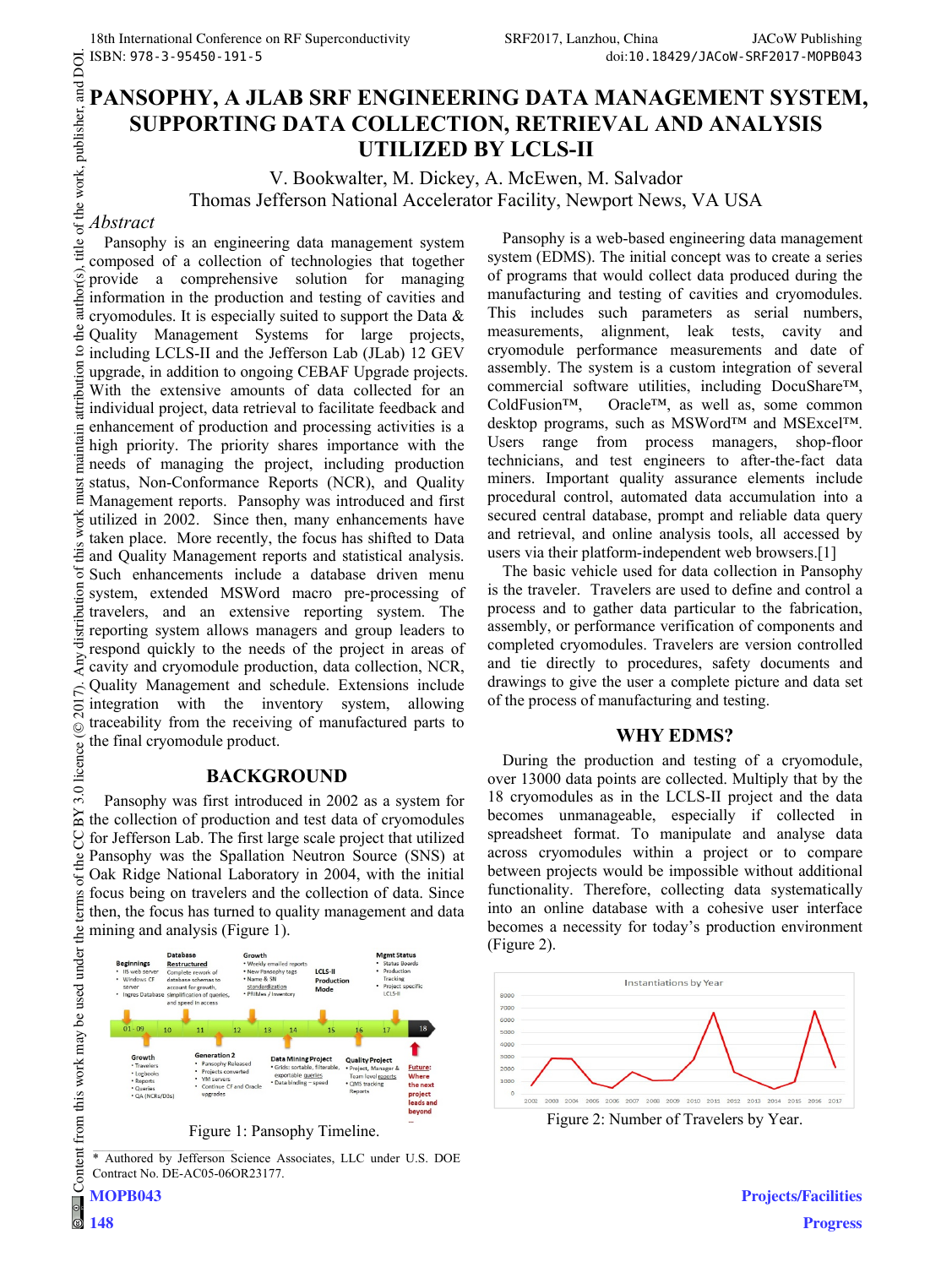# **PANSOPHY, A JLAB SRF ENGINEERING DATA MANAGEMENT SYSTEM, SUPPORTING DATA COLLECTION, RETRIEVAL AND ANALYSIS UTILIZED BY LCLS-II**

V. Bookwalter, M. Dickey, A. McEwen, M. Salvador Thomas Jefferson National Accelerator Facility, Newport News, VA USA

### *Abstract*

DOI.

 $2017$ ). Any distribution of this work must maintain attribution to the author(s), title of the work, publisher, and DOI. author(s), title of the work, publisher, and Pansophy is an engineering data management system composed of a collection of technologies that together provide a comprehensive solution for managing information in the production and testing of cavities and cryomodules. It is especially suited to support the Data & de Quality Management Systems for large projects,  $\overline{S}$ including LCLS-II and the Jefferson Lab (JLab) 12 GEV attribution upgrade, in addition to ongoing CEBAF Upgrade projects. With the extensive amounts of data collected for an individual project, data retrieval to facilitate feedback and enhancement of production and processing activities is a maintain high priority. The priority shares importance with the needs of managing the project, including production must status, Non-Conformance Reports (NCR), and Quality Management reports. Pansophy was introduced and first utilized in 2002. Since then, many enhancements have taken place. More recently, the focus has shifted to Data and Quality Management reports and statistical analysis. Such enhancements include a database driven menu system, extended MSWord macro pre-processing of travelers, and an extensive reporting system. The reporting system allows managers and group leaders to respond quickly to the needs of the project in areas of cavity and cryomodule production, data collection, NCR, Quality Management and schedule. Extensions include integration with the inventory system, allowing traceability from the receiving of manufactured parts to the final cryomodule product.

### **BACKGROUND**

Pansophy was first introduced in 2002 as a system for the collection of production and test data of cryomodules for Jefferson Lab. The first large scale project that utilized Pansophy was the Spallation Neutron Source (SNS) at Oak Ridge National Laboratory in 2004, with the initial focus being on travelers and the collection of data. Since then, the focus has turned to quality management and data mining and analysis (Figure 1).



\* Authored by Jefferson Science Associates, LLC under U.S. DOE Contract No. DE-AC05-06OR23177.

Pansophy is a web-based engineering data management system (EDMS). The initial concept was to create a series of programs that would collect data produced during the manufacturing and testing of cavities and cryomodules. This includes such parameters as serial numbers, measurements, alignment, leak tests, cavity and cryomodule performance measurements and date of assembly. The system is a custom integration of several commercial software utilities, including DocuShare™,<br>ColdFusion™, Oracle™, as well as, some common Oracle™, as well as, some common desktop programs, such as MSWord™ and MSExcel™. Users range from process managers, shop-floor technicians, and test engineers to after-the-fact data miners. Important quality assurance elements include procedural control, automated data accumulation into a secured central database, prompt and reliable data query and retrieval, and online analysis tools, all accessed by users via their platform-independent web browsers.[1]

The basic vehicle used for data collection in Pansophy is the traveler. Travelers are used to define and control a process and to gather data particular to the fabrication, assembly, or performance verification of components and completed cryomodules. Travelers are version controlled and tie directly to procedures, safety documents and drawings to give the user a complete picture and data set of the process of manufacturing and testing.

#### **WHY EDMS?**

During the production and testing of a cryomodule, over 13000 data points are collected. Multiply that by the 18 cryomodules as in the LCLS-II project and the data becomes unmanageable, especially if collected in spreadsheet format. To manipulate and analyse data across cryomodules within a project or to compare between projects would be impossible without additional functionality. Therefore, collecting data systematically into an online database with a cohesive user interface becomes a necessity for today's production environment (Figure 2).



Figure 2: Number of Travelers by Year.

**Projects/Facilities Progress**

**MOPB043**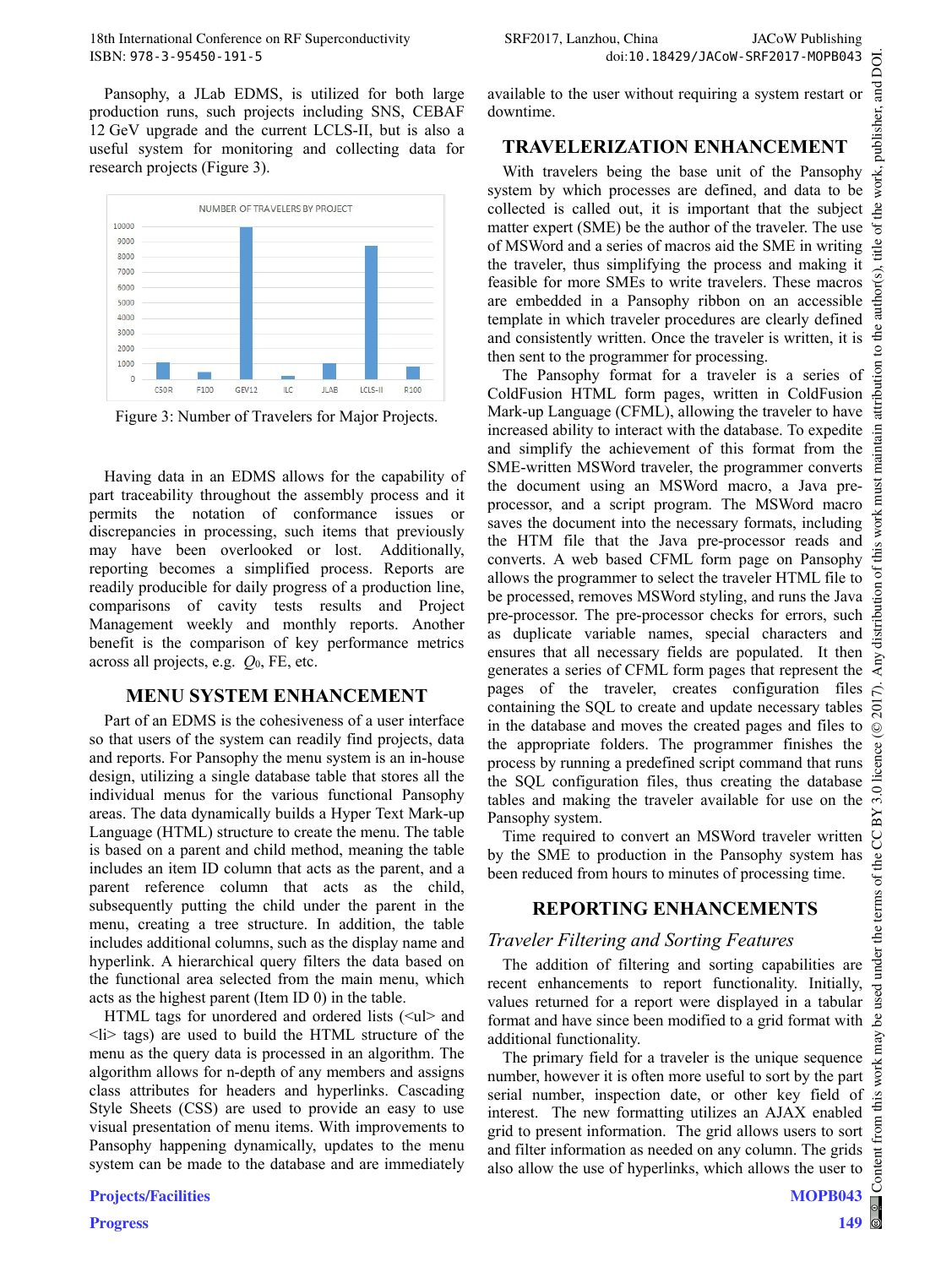Pansophy, a JLab EDMS, is utilized for both large production runs, such projects including SNS, CEBAF 12 GeV upgrade and the current LCLS-II, but is also a useful system for monitoring and collecting data for research projects (Figure 3).



Figure 3: Number of Travelers for Major Projects.

Having data in an EDMS allows for the capability of part traceability throughout the assembly process and it permits the notation of conformance issues or discrepancies in processing, such items that previously may have been overlooked or lost. Additionally, reporting becomes a simplified process. Reports are readily producible for daily progress of a production line, comparisons of cavity tests results and Project Management weekly and monthly reports. Another benefit is the comparison of key performance metrics across all projects, e.g. *Q*0, FE, etc.

## **MENU SYSTEM ENHANCEMENT**

Part of an EDMS is the cohesiveness of a user interface so that users of the system can readily find projects, data and reports. For Pansophy the menu system is an in-house design, utilizing a single database table that stores all the individual menus for the various functional Pansophy areas. The data dynamically builds a Hyper Text Mark-up Language (HTML) structure to create the menu. The table is based on a parent and child method, meaning the table includes an item ID column that acts as the parent, and a parent reference column that acts as the child, subsequently putting the child under the parent in the menu, creating a tree structure. In addition, the table includes additional columns, such as the display name and hyperlink. A hierarchical query filters the data based on the functional area selected from the main menu, which acts as the highest parent (Item ID 0) in the table.

HTML tags for unordered and ordered lists  $\langle \langle ul \rangle$  and  $\langle$ li $>$  tags) are used to build the HTML structure of the menu as the query data is processed in an algorithm. The algorithm allows for n-depth of any members and assigns class attributes for headers and hyperlinks. Cascading Style Sheets (CSS) are used to provide an easy to use visual presentation of menu items. With improvements to Pansophy happening dynamically, updates to the menu system can be made to the database and are immediately available to the user without requiring a system restart or downtime.

# **TRAVELERIZATION ENHANCEMENT**

With travelers being the base unit of the Pansophy system by which processes are defined, and data to be collected is called out, it is important that the subject matter expert (SME) be the author of the traveler. The use of MSWord and a series of macros aid the SME in writing the traveler, thus simplifying the process and making it feasible for more SMEs to write travelers. These macros are embedded in a Pansophy ribbon on an accessible template in which traveler procedures are clearly defined and consistently written. Once the traveler is written, it is then sent to the programmer for processing.

The Pansophy format for a traveler is a series of ColdFusion HTML form pages, written in ColdFusion Mark-up Language (CFML), allowing the traveler to have increased ability to interact with the database. To expedite and simplify the achievement of this format from the maint SME-written MSWord traveler, the programmer converts the document using an MSWord macro, a Java pre**isi** processor, and a script program. The MSWord macro Ε saves the document into the necessary formats, including the HTM file that the Java pre-processor reads and converts. A web based CFML form page on Pansophy  $\ddot{\circ}$ allows the programmer to select the traveler HTML file to ion be processed, removes MSWord styling, and runs the Java Jut pre-processor. The pre-processor checks for errors, such as duplicate variable names, special characters and ensures that all necessary fields are populated. It then  $\overline{y}$ generates a series of CFML form pages that represent the pages of the traveler, creates configuration files containing the SQL to create and update necessary tables  $\bar{\rm s}$ in the database and moves the created pages and files to ©Content from this work may be used under the terms of the CC BY 3.0 licence ( $@$ the appropriate folders. The programmer finishes the licence process by running a predefined script command that runs the SQL configuration files, thus creating the database 3.0 tables and making the traveler available for use on the ΒY Pansophy system.

Time required to convert an MSWord traveler written by the SME to production in the Pansophy system has been reduced from hours to minutes of processing time.

# **REPORTING ENHANCEMENTS**

# *Traveler Filtering and Sorting Features*

The addition of filtering and sorting capabilities are recent enhancements to report functionality. Initially, values returned for a report were displayed in a tabular \_e format and have since been modified to a grid format with additional functionality.

The primary field for a traveler is the unique sequence number, however it is often more useful to sort by the part serial number, inspection date, or other key field of interest. The new formatting utilizes an AJAX enabled grid to present information. The grid allows users to sort and filter information as needed on any column. The grids also allow the use of hyperlinks, which allows the user to

S

the terms of the

under t

used

work: this from

Content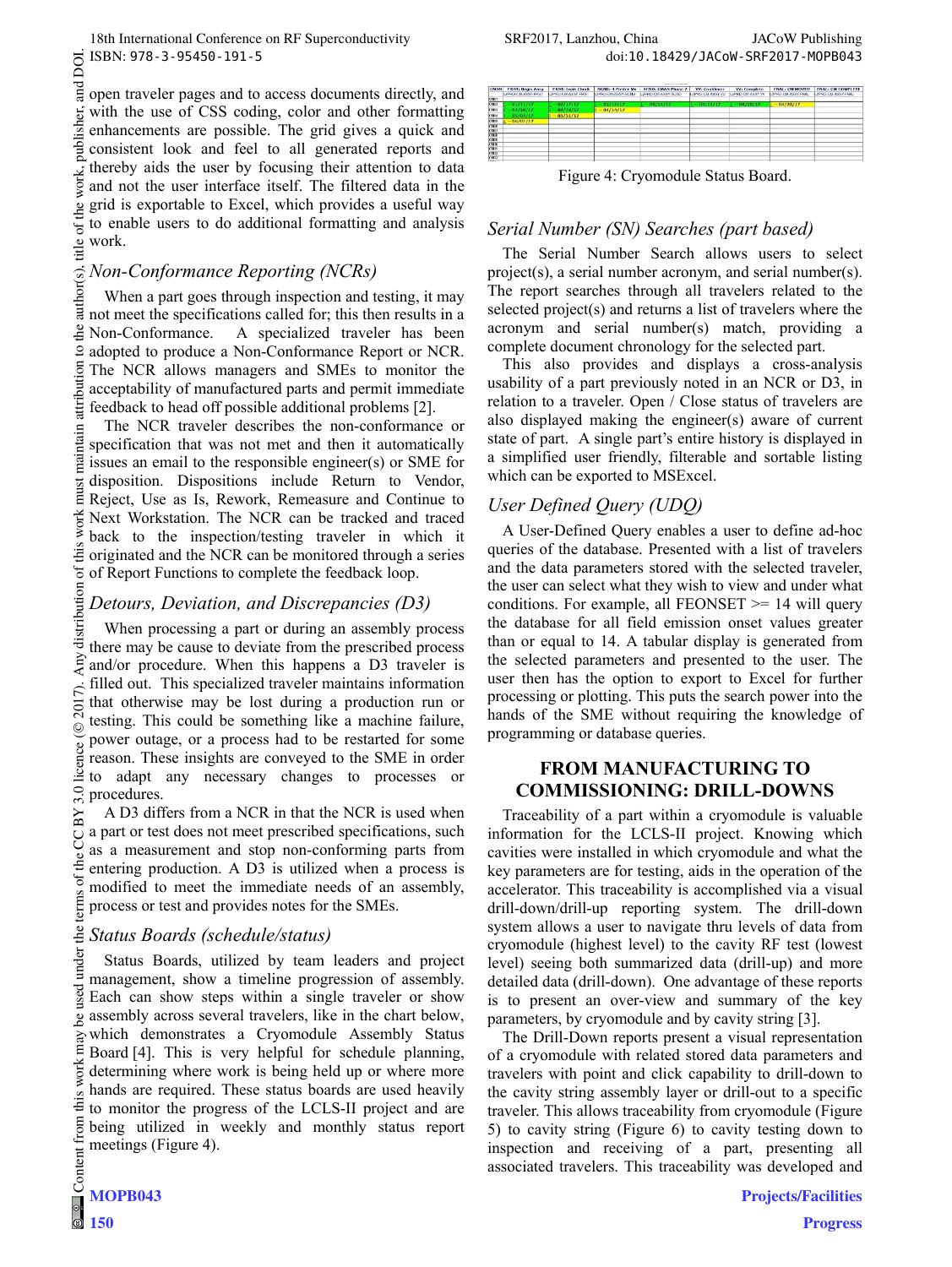and open traveler pages and to access documents directly, and with the use of CSS coding, color and other formatting publisher. enhancements are possible. The grid gives a quick and consistent look and feel to all generated reports and thereby aids the user by focusing their attention to data and not the user interface itself. The filtered data in the grid is exportable to Excel, which provides a useful way to enable users to do additional formatting and analysis work.

#### *Non-Conformance Reporting (NCRs)*

When a part goes through inspection and testing, it may not meet the specifications called for; this then results in a Non-Conformance. A specialized traveler has been  $\mathbf{S}$ adopted to produce a Non-Conformance Report or NCR. The NCR allows managers and SMEs to monitor the acceptability of manufactured parts and permit immediate feedback to head off possible additional problems [2].

The NCR traveler describes the non-conformance or specification that was not met and then it automatically issues an email to the responsible engineer(s) or SME for disposition. Dispositions include Return to Vendor, Reject, Use as Is, Rework, Remeasure and Continue to Next Workstation. The NCR can be tracked and traced back to the inspection/testing traveler in which it originated and the NCR can be monitored through a series of Report Functions to complete the feedback loop.

## *Detours, Deviation, and Discrepancies (D3)*

When processing a part or during an assembly process there may be cause to deviate from the prescribed process and/or procedure. When this happens a D3 traveler is filled out. This specialized traveler maintains information that otherwise may be lost during a production run or testing. This could be something like a machine failure, power outage, or a process had to be restarted for some reason. These insights are conveyed to the SME in order to adapt any necessary changes to processes or procedures.

A D3 differs from a NCR in that the NCR is used when a part or test does not meet prescribed specifications, such as a measurement and stop non-conforming parts from entering production. A D3 is utilized when a process is modified to meet the immediate needs of an assembly, process or test and provides notes for the SMEs.

### *Status Boards (schedule/status)*

Status Boards, utilized by team leaders and project management, show a timeline progression of assembly. Each can show steps within a single traveler or show assembly across several travelers, like in the chart below, which demonstrates a Cryomodule Assembly Status Board [4]. This is very helpful for schedule planning, determining where work is being held up or where more hands are required. These status boards are used heavily to monitor the progress of the LCLS-II project and are being utilized in weekly and monthly status report meetings (Figure 4).

| <b>ICMSN</b> | <b>FRST: Begin Assy</b> | <b>FRST: Leak Check</b> | <b>SCND: 4 Poster My</b>  | <b>SCND: CMAS Phase 2</b> | <b>W: Cantilever</b> | <b>VV: Complete</b> | <b>FNAL: CM MOVED</b>     | <b>FNAL: CM COMPLETE</b> |
|--------------|-------------------------|-------------------------|---------------------------|---------------------------|----------------------|---------------------|---------------------------|--------------------------|
|              | L2PRD-CM-ASSY-FRST      | L2PRD CM ASSY FRS       | <b>L2FRD CM ASSY SCND</b> | L2PRD. CM ASSY, SCND.     | L2PRD CM ASSY.VV     | LIPRD.CM.ASSY.VV    | <b>L2FRD CM ASSY FRAU</b> | L2FRD CHUSSY FRAU        |
| <b>CMM</b>   |                         |                         |                           |                           |                      |                     |                           |                          |
| CM02         | 01/11/17                | 02/17/17                | 02/17/17                  | 04/14/17                  | 04/11/17             | 04/20/17            | 04/20/17                  |                          |
| CARDS        | 03/20/17                | 04/14/17                | 04/14/17                  |                           |                      |                     |                           |                          |
| <b>CARDA</b> | 05/04/17                | 05/31/17                |                           |                           |                      |                     |                           |                          |
| <b>CMM</b>   | 06/01/17                |                         |                           |                           |                      |                     |                           |                          |
| 7.1476       |                         |                         |                           |                           |                      |                     |                           |                          |
| <b>KANDY</b> |                         |                         |                           |                           |                      |                     |                           |                          |
| <b>TANK</b>  |                         |                         |                           |                           |                      |                     |                           |                          |
| <b>CMM</b>   |                         |                         |                           |                           |                      |                     |                           |                          |
| <b>CMTD</b>  |                         |                         |                           |                           |                      |                     |                           |                          |
| <b>CM11</b>  |                         |                         |                           |                           |                      |                     |                           |                          |
| <b>KM12</b>  |                         |                         |                           |                           |                      |                     |                           |                          |
| <b>CM18</b>  |                         |                         |                           |                           |                      |                     |                           |                          |
| 1.111        |                         |                         |                           |                           |                      |                     |                           |                          |

Figure 4: Cryomodule Status Board.

### *Serial Number (SN) Searches (part based)*

The Serial Number Search allows users to select project(s), a serial number acronym, and serial number(s). The report searches through all travelers related to the selected project(s) and returns a list of travelers where the acronym and serial number(s) match, providing a complete document chronology for the selected part.

This also provides and displays a cross-analysis usability of a part previously noted in an NCR or D3, in relation to a traveler. Open / Close status of travelers are also displayed making the engineer(s) aware of current state of part. A single part's entire history is displayed in a simplified user friendly, filterable and sortable listing which can be exported to MSExcel.

## *User Defined Query (UDQ)*

A User-Defined Query enables a user to define ad-hoc queries of the database. Presented with a list of travelers and the data parameters stored with the selected traveler, the user can select what they wish to view and under what conditions. For example, all FEONSET  $\ge$  14 will query the database for all field emission onset values greater than or equal to 14. A tabular display is generated from the selected parameters and presented to the user. The user then has the option to export to Excel for further processing or plotting. This puts the search power into the hands of the SME without requiring the knowledge of programming or database queries.

### **FROM MANUFACTURING TO COMMISSIONING: DRILL-DOWNS**

Traceability of a part within a cryomodule is valuable information for the LCLS-II project. Knowing which cavities were installed in which cryomodule and what the key parameters are for testing, aids in the operation of the accelerator. This traceability is accomplished via a visual drill-down/drill-up reporting system. The drill-down system allows a user to navigate thru levels of data from cryomodule (highest level) to the cavity RF test (lowest level) seeing both summarized data (drill-up) and more detailed data (drill-down). One advantage of these reports is to present an over-view and summary of the key parameters, by cryomodule and by cavity string [3].

The Drill-Down reports present a visual representation of a cryomodule with related stored data parameters and travelers with point and click capability to drill-down to the cavity string assembly layer or drill-out to a specific traveler. This allows traceability from cryomodule (Figure 5) to cavity string (Figure 6) to cavity testing down to inspection and receiving of a part, presenting all associated travelers. This traceability was developed and

DOI.

**150**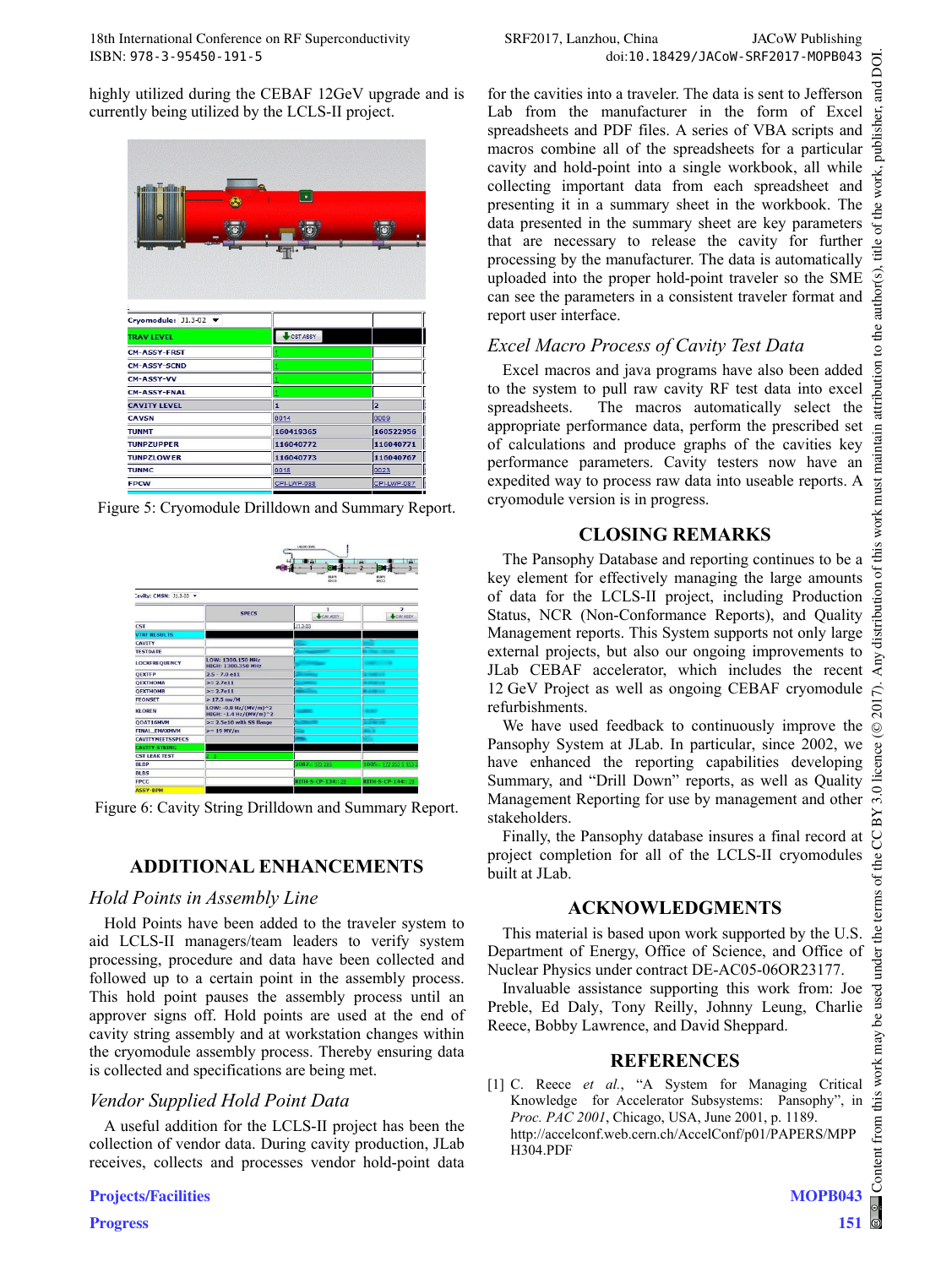highly utilized during the CEBAF 12GeV upgrade and is currently being utilized by the LCLS-II project.



Figure 5: Cryomodule Drilldown and Summary Report.



Figure 6: Cavity String Drilldown and Summary Report.

## **ADDITIONAL ENHANCEMENTS**

## *Hold Points in Assembly Line*

Hold Points have been added to the traveler system to aid LCLS-II managers/team leaders to verify system processing, procedure and data have been collected and followed up to a certain point in the assembly process. This hold point pauses the assembly process until an approver signs off. Hold points are used at the end of cavity string assembly and at workstation changes within the cryomodule assembly process. Thereby ensuring data is collected and specifications are being met.

## *Vendor Supplied Hold Point Data*

A useful addition for the LCLS-II project has been the collection of vendor data. During cavity production, JLab receives, collects and processes vendor hold-point data

#### **Projects/Facilities**

for the cavities into a traveler. The data is sent to Jefferson Lab from the manufacturer in the form of Excel spreadsheets and PDF files. A series of VBA scripts and macros combine all of the spreadsheets for a particular cavity and hold-point into a single workbook, all while collecting important data from each spreadsheet and presenting it in a summary sheet in the workbook. The data presented in the summary sheet are key parameters that are necessary to release the cavity for further processing by the manufacturer. The data is automatically uploaded into the proper hold-point traveler so the SME can see the parameters in a consistent traveler format and report user interface.

## *Excel Macro Process of Cavity Test Data*

Excel macros and java programs have also been added to the system to pull raw cavity RF test data into excel spreadsheets. The macros automatically select the appropriate performance data, perform the prescribed set of calculations and produce graphs of the cavities key performance parameters. Cavity testers now have an expedited way to process raw data into useable reports. A cryomodule version is in progress.

## **CLOSING REMARKS**

The Pansophy Database and reporting continues to be a key element for effectively managing the large amounts of data for the LCLS-II project, including Production Status, NCR (Non-Conformance Reports), and Quality Management reports. This System supports not only large external projects, but also our ongoing improvements to JLab CEBAF accelerator, which includes the recent 12 GeV Project as well as ongoing CEBAF cryomodule refurbishments.

We have used feedback to continuously improve the Pansophy System at JLab. In particular, since 2002, we have enhanced the reporting capabilities developing Summary, and "Drill Down" reports, as well as Quality Management Reporting for use by management and other stakeholders.

Finally, the Pansophy database insures a final record at project completion for all of the LCLS-II cryomodules built at JLab.

## **ACKNOWLEDGMENTS**

This material is based upon work supported by the U.S. Department of Energy, Office of Science, and Office of Nuclear Physics under contract DE-AC05-06OR23177.

Invaluable assistance supporting this work from: Joe Preble, Ed Daly, Tony Reilly, Johnny Leung, Charlie Reece, Bobby Lawrence, and David Sheppard.

### **REFERENCES**

[1] C. Reece *et al.*, "A System for Managing Critical Knowledge for Accelerator Subsystems: Pansophy", in *Proc. PAC 2001*, Chicago, USA, June 2001, p. 1189. http://accelconf.web.cern.ch/AccelConf/p01/PAPERS/MPP H304.PDF